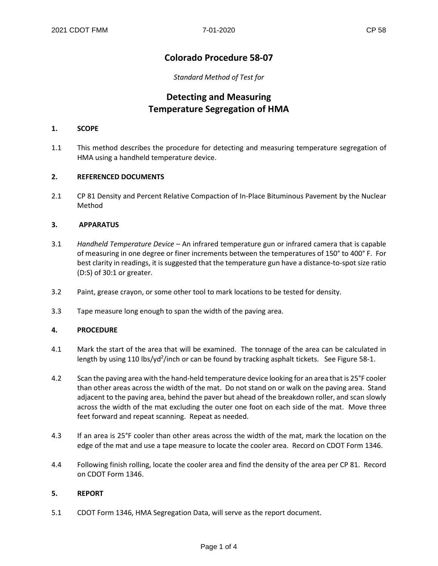### **Colorado Procedure 58-07**

*Standard Method of Test for*

## **Detecting and Measuring Temperature Segregation of HMA**

#### **1. SCOPE**

1.1 This method describes the procedure for detecting and measuring temperature segregation of HMA using a handheld temperature device.

#### **2. REFERENCED DOCUMENTS**

2.1 CP 81 Density and Percent Relative Compaction of In-Place Bituminous Pavement by the Nuclear Method

#### **3. APPARATUS**

- 3.1 *Handheld Temperature Device –* An infrared temperature gun or infrared camera that is capable of measuring in one degree or finer increments between the temperatures of 150° to 400° F. For best clarity in readings, it is suggested that the temperature gun have a distance-to-spot size ratio (D:S) of 30:1 or greater.
- 3.2 Paint, grease crayon, or some other tool to mark locations to be tested for density.
- 3.3 Tape measure long enough to span the width of the paving area.

#### **4. PROCEDURE**

- 4.1 Mark the start of the area that will be examined. The tonnage of the area can be calculated in length by using 110 lbs/yd<sup>2</sup>/inch or can be found by tracking asphalt tickets. See Figure 58-1.
- 4.2 Scan the paving area with the hand-held temperature device looking for an area that is 25°F cooler than other areas across the width of the mat. Do not stand on or walk on the paving area. Stand adjacent to the paving area, behind the paver but ahead of the breakdown roller, and scan slowly across the width of the mat excluding the outer one foot on each side of the mat. Move three feet forward and repeat scanning. Repeat as needed.
- 4.3 If an area is 25°F cooler than other areas across the width of the mat, mark the location on the edge of the mat and use a tape measure to locate the cooler area. Record on CDOT Form 1346.
- 4.4 Following finish rolling, locate the cooler area and find the density of the area per CP 81. Record on CDOT Form 1346.

#### **5. REPORT**

5.1 CDOT Form 1346, HMA Segregation Data, will serve as the report document.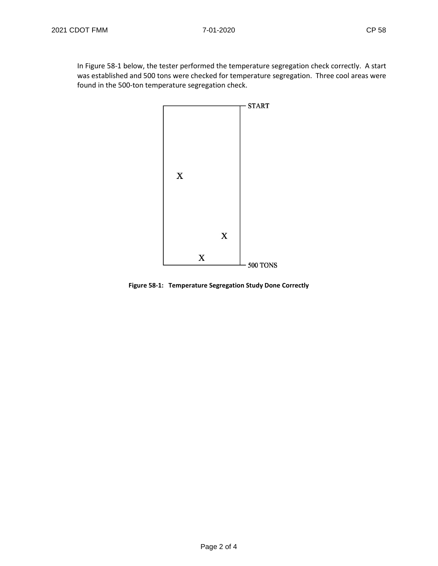In Figure 58-1 below, the tester performed the temperature segregation check correctly. A start was established and 500 tons were checked for temperature segregation. Three cool areas were found in the 500-ton temperature segregation check.



**Figure 58-1: Temperature Segregation Study Done Correctly**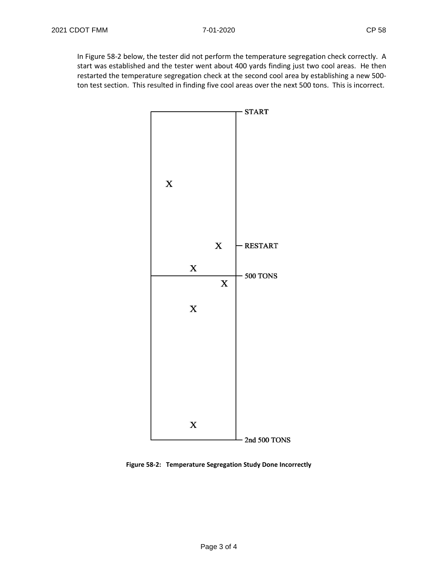In Figure 58-2 below, the tester did not perform the temperature segregation check correctly. A start was established and the tester went about 400 yards finding just two cool areas. He then restarted the temperature segregation check at the second cool area by establishing a new 500 ton test section. This resulted in finding five cool areas over the next 500 tons. This is incorrect.



**Figure 58-2: Temperature Segregation Study Done Incorrectly**